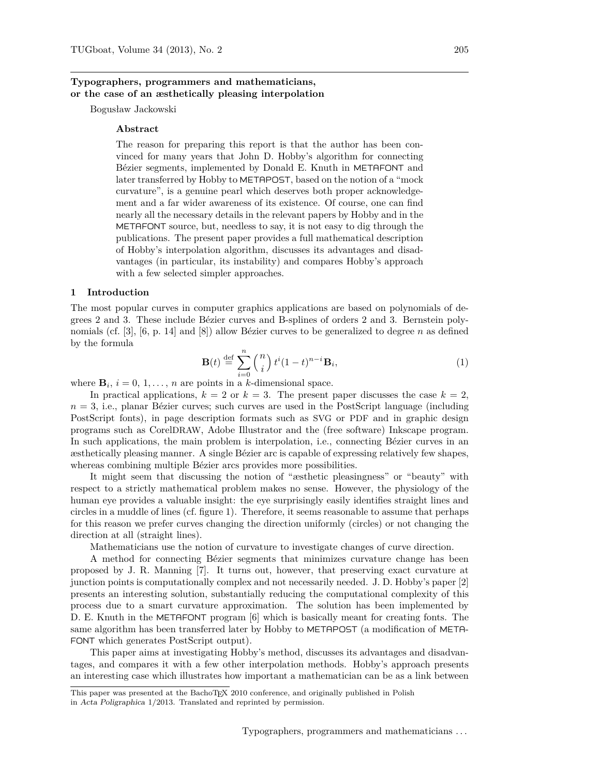# **Typographers, programmers and mathematicians, or the case of an æsthetically pleasing interpolation**

Bogusław Jackowski

# **Abstract**

The reason for preparing this report is that the author has been convinced for many years that John D. Hobby's algorithm for connecting Bézier segments, implemented by Donald E. Knuth in METAFONT and later transferred by Hobby to METAPOST, based on the notion of a "mock curvature", is a genuine pearl which deserves both proper acknowledgement and a far wider awareness of its existence. Of course, one can find nearly all the necessary details in the relevant papers by Hobby and in the METAFONT source, but, needless to say, it is not easy to dig through the publications. The present paper provides a full mathematical description of Hobby's interpolation algorithm, discusses its advantages and disadvantages (in particular, its instability) and compares Hobby's approach with a few selected simpler approaches.

# **1 Introduction**

The most popular curves in computer graphics applications are based on polynomials of degrees 2 and 3. These include Bézier curves and B-splines of orders 2 and 3. Bernstein polynomials (cf. [3], [6, p. 14] and [8]) allow Bézier curves to be generalized to degree *n* as defined by the formula

$$
\mathbf{B}(t) \stackrel{\text{def}}{=} \sum_{i=0}^{n} \binom{n}{i} t^{i} (1-t)^{n-i} \mathbf{B}_i,
$$
 (1)

where  $\mathbf{B}_i$ ,  $i = 0, 1, \ldots, n$  are points in a *k*-dimensional space.

In practical applications,  $k = 2$  or  $k = 3$ . The present paper discusses the case  $k = 2$ ,  $n = 3$ , i.e., planar Bézier curves; such curves are used in the PostScript language (including PostScript fonts), in page description formats such as SVG or PDF and in graphic design programs such as CorelDRAW, Adobe Illustrator and the (free software) Inkscape program. In such applications, the main problem is interpolation, i.e., connecting Bézier curves in an æsthetically pleasing manner. A single Bézier arc is capable of expressing relatively few shapes, whereas combining multiple Bézier arcs provides more possibilities.

It might seem that discussing the notion of "æsthetic pleasingness" or "beauty" with respect to a strictly mathematical problem makes no sense. However, the physiology of the human eye provides a valuable insight: the eye surprisingly easily identifies straight lines and circles in a muddle of lines (cf. figure 1). Therefore, it seems reasonable to assume that perhaps for this reason we prefer curves changing the direction uniformly (circles) or not changing the direction at all (straight lines).

Mathematicians use the notion of curvature to investigate changes of curve direction.

A method for connecting Bézier segments that minimizes curvature change has been proposed by J. R. Manning [7]. It turns out, however, that preserving exact curvature at junction points is computationally complex and not necessarily needed. J. D. Hobby's paper [2] presents an interesting solution, substantially reducing the computational complexity of this process due to a smart curvature approximation. The solution has been implemented by D. E. Knuth in the METAFONT program [6] which is basically meant for creating fonts. The same algorithm has been transferred later by Hobby to METAPOST (a modification of META-FONT which generates PostScript output).

This paper aims at investigating Hobby's method, discusses its advantages and disadvantages, and compares it with a few other interpolation methods. Hobby's approach presents an interesting case which illustrates how important a mathematician can be as a link between

This paper was presented at the BachoTFX 2010 conference, and originally published in Polish in Acta Poligraphica 1/2013. Translated and reprinted by permission.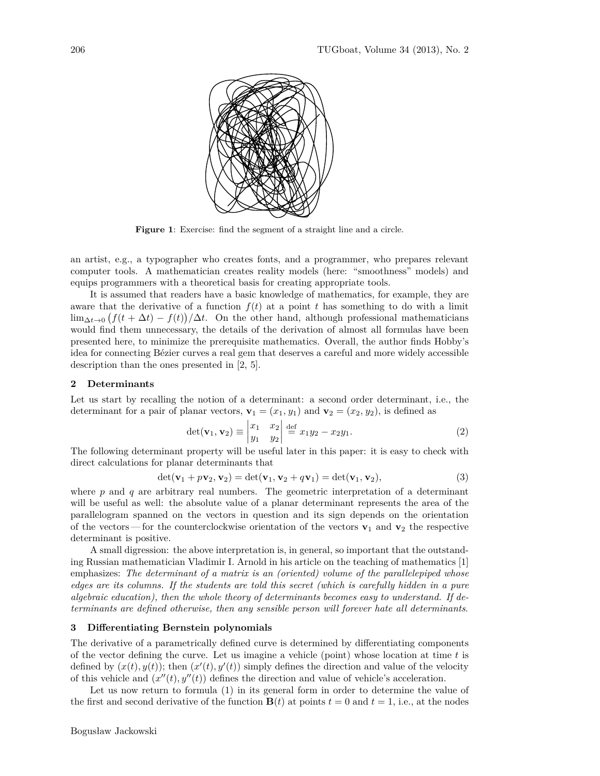

**Figure 1**: Exercise: find the segment of a straight line and a circle.

an artist, e.g., a typographer who creates fonts, and a programmer, who prepares relevant computer tools. A mathematician creates reality models (here: "smoothness" models) and equips programmers with a theoretical basis for creating appropriate tools.

It is assumed that readers have a basic knowledge of mathematics, for example, they are aware that the derivative of a function  $f(t)$  at a point *t* has something to do with a limit  $\lim_{\Delta t \to 0} (f(t + \Delta t) - f(t))/\Delta t$ . On the other hand, although professional mathematicians would find them unnecessary, the details of the derivation of almost all formulas have been presented here, to minimize the prerequisite mathematics. Overall, the author finds Hobby's idea for connecting Bézier curves a real gem that deserves a careful and more widely accessible description than the ones presented in [2, 5].

#### **2 Determinants**

Let us start by recalling the notion of a determinant: a second order determinant, i.e., the determinant for a pair of planar vectors,  $\mathbf{v}_1 = (x_1, y_1)$  and  $\mathbf{v}_2 = (x_2, y_2)$ , is defined as

$$
\det(\mathbf{v}_1, \mathbf{v}_2) \equiv \begin{vmatrix} x_1 & x_2 \\ y_1 & y_2 \end{vmatrix} \stackrel{\text{def}}{=} x_1 y_2 - x_2 y_1. \tag{2}
$$

The following determinant property will be useful later in this paper: it is easy to check with direct calculations for planar determinants that

$$
\det(\mathbf{v}_1 + p\mathbf{v}_2, \mathbf{v}_2) = \det(\mathbf{v}_1, \mathbf{v}_2 + q\mathbf{v}_1) = \det(\mathbf{v}_1, \mathbf{v}_2),
$$
\n(3)

where  $p$  and  $q$  are arbitrary real numbers. The geometric interpretation of a determinant will be useful as well: the absolute value of a planar determinant represents the area of the parallelogram spanned on the vectors in question and its sign depends on the orientation of the vectors—for the counterclockwise orientation of the vectors  $\mathbf{v}_1$  and  $\mathbf{v}_2$  the respective determinant is positive.

A small digression: the above interpretation is, in general, so important that the outstanding Russian mathematician Vladimir I. Arnold in his article on the teaching of mathematics [1] emphasizes: *The determinant of a matrix is an (oriented) volume of the parallelepiped whose edges are its columns. If the students are told this secret (which is carefully hidden in a pure algebraic education), then the whole theory of determinants becomes easy to understand. If determinants are defined otherwise, then any sensible person will forever hate all determinants*.

### **3 Differentiating Bernstein polynomials**

The derivative of a parametrically defined curve is determined by differentiating components of the vector defining the curve. Let us imagine a vehicle (point) whose location at time *t* is defined by  $(x(t), y(t))$ ; then  $(x'(t), y'(t))$  simply defines the direction and value of the velocity of this vehicle and  $(x''(t), y''(t))$  defines the direction and value of vehicle's acceleration.

Let us now return to formula (1) in its general form in order to determine the value of the first and second derivative of the function  $\mathbf{B}(t)$  at points  $t = 0$  and  $t = 1$ , i.e., at the nodes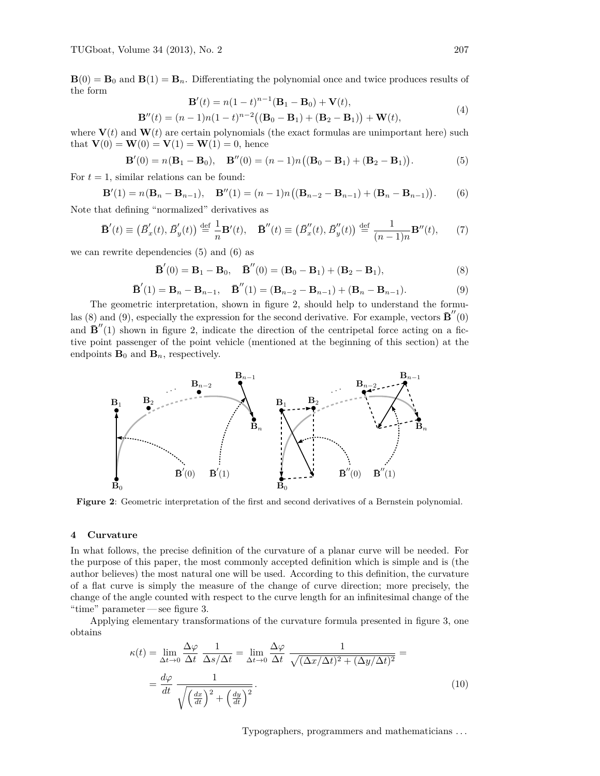$\mathbf{B}(0) = \mathbf{B}_0$  and  $\mathbf{B}(1) = \mathbf{B}_n$ . Differentiating the polynomial once and twice produces results of the form

$$
\mathbf{B}'(t) = n(1-t)^{n-1}(\mathbf{B}_1 - \mathbf{B}_0) + \mathbf{V}(t),
$$
  
\n
$$
\mathbf{B}''(t) = (n-1)n(1-t)^{n-2}((\mathbf{B}_0 - \mathbf{B}_1) + (\mathbf{B}_2 - \mathbf{B}_1)) + \mathbf{W}(t),
$$
\n(4)

where  $V(t)$  and  $W(t)$  are certain polynomials (the exact formulas are unimportant here) such that  $V(0) = W(0) = V(1) = W(1) = 0$ , hence

$$
\mathbf{B}'(0) = n(\mathbf{B}_1 - \mathbf{B}_0), \quad \mathbf{B}''(0) = (n-1)n((\mathbf{B}_0 - \mathbf{B}_1) + (\mathbf{B}_2 - \mathbf{B}_1)).
$$
 (5)

For  $t = 1$ , similar relations can be found:

$$
\mathbf{B}'(1) = n(\mathbf{B}_n - \mathbf{B}_{n-1}), \quad \mathbf{B}''(1) = (n-1)n((\mathbf{B}_{n-2} - \mathbf{B}_{n-1}) + (\mathbf{B}_n - \mathbf{B}_{n-1})).
$$
 (6)

Note that defining "normalized" derivatives as

$$
\mathbf{\bar{B}}'(t) \equiv \left(\overline{B}'_x(t), \overline{B}'_y(t)\right) \stackrel{\text{def}}{=} \frac{1}{n} \mathbf{B}'(t), \quad \mathbf{\bar{B}}''(t) \equiv \left(\overline{B}''_x(t), \overline{B}''_y(t)\right) \stackrel{\text{def}}{=} \frac{1}{(n-1)n} \mathbf{B}''(t),\tag{7}
$$

we can rewrite dependencies (5) and (6) as

$$
\mathbf{\bar{B}}'(0) = \mathbf{B}_1 - \mathbf{B}_0, \quad \mathbf{\bar{B}}''(0) = (\mathbf{B}_0 - \mathbf{B}_1) + (\mathbf{B}_2 - \mathbf{B}_1),
$$
\n(8)

$$
\mathbf{\bar{B}}'(1) = \mathbf{B}_n - \mathbf{B}_{n-1}, \quad \mathbf{\bar{B}}''(1) = (\mathbf{B}_{n-2} - \mathbf{B}_{n-1}) + (\mathbf{B}_n - \mathbf{B}_{n-1}).
$$
\n(9)

The geometric interpretation, shown in figure 2, should help to understand the formulas (8) and (9), especially the expression for the second derivative. For example, vectors  $\mathbf{\bar{B}}''(0)$ and  $\mathbf{\bar{B}}''(1)$  shown in figure 2, indicate the direction of the centripetal force acting on a fictive point passenger of the point vehicle (mentioned at the beginning of this section) at the endpoints  $\mathbf{B}_0$  and  $\mathbf{B}_n$ , respectively.



**Figure 2**: Geometric interpretation of the first and second derivatives of a Bernstein polynomial.

# **4 Curvature**

In what follows, the precise definition of the curvature of a planar curve will be needed. For the purpose of this paper, the most commonly accepted definition which is simple and is (the author believes) the most natural one will be used. According to this definition, the curvature of a flat curve is simply the measure of the change of curve direction; more precisely, the change of the angle counted with respect to the curve length for an infinitesimal change of the "time" parameter — see figure 3.

Applying elementary transformations of the curvature formula presented in figure 3, one obtains

$$
\kappa(t) = \lim_{\Delta t \to 0} \frac{\Delta \varphi}{\Delta t} \frac{1}{\Delta s / \Delta t} = \lim_{\Delta t \to 0} \frac{\Delta \varphi}{\Delta t} \frac{1}{\sqrt{(\Delta x / \Delta t)^2 + (\Delta y / \Delta t)^2}} =
$$
  
=  $\frac{d\varphi}{dt} \frac{1}{\sqrt{\left(\frac{dx}{dt}\right)^2 + \left(\frac{dy}{dt}\right)^2}}$ . (10)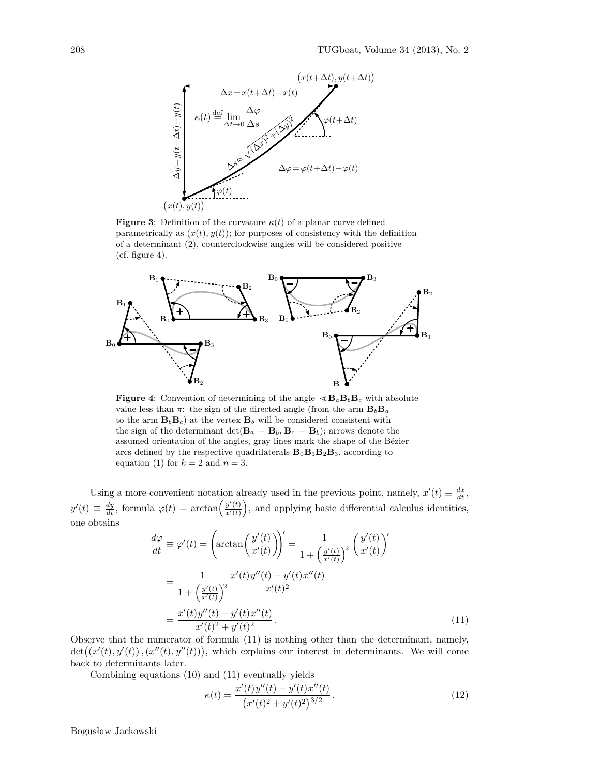

**Figure 3**: Definition of the curvature  $\kappa(t)$  of a planar curve defined parametrically as  $(x(t), y(t))$ ; for purposes of consistency with the definition of a determinant (2), counterclockwise angles will be considered positive  $(cf. figure 4).$ 



**Figure 4**: Convention of determining of the angle  $\leq \mathbf{B}_a \mathbf{B}_b \mathbf{B}_c$  with absolute value less than  $\pi$ : the sign of the directed angle (from the arm  $B_bB_a$ to the arm  $\mathbf{B}_b \mathbf{B}_c$  at the vertex  $\mathbf{B}_b$  will be considered consistent with the sign of the determinant det( $\mathbf{B}_a - \mathbf{B}_b$ ,  $\mathbf{B}_c - \mathbf{B}_b$ ); arrows denote the assumed orientation of the angles, gray lines mark the shape of the Bézier arcs defined by the respective quadrilaterals  $\mathbf{B}_0 \mathbf{B}_1 \mathbf{B}_2 \mathbf{B}_3$ , according to equation (1) for  $k = 2$  and  $n = 3$ .

Using a more convenient notation already used in the previous point, namely,  $x'(t) \equiv \frac{dx}{dt}$ ,  $y'(t) \equiv \frac{dy}{dt}$ , formula  $\varphi(t) = \arctan\left(\frac{y'(t)}{x'(t)}\right)$ , and applying basic differential calculus identities, one obtains

$$
\frac{d\varphi}{dt} \equiv \varphi'(t) = \left(\arctan\left(\frac{y'(t)}{x'(t)}\right)\right)' = \frac{1}{1 + \left(\frac{y'(t)}{x'(t)}\right)^2} \left(\frac{y'(t)}{x'(t)}\right)'
$$
\n
$$
= \frac{1}{1 + \left(\frac{y'(t)}{x'(t)}\right)^2} \frac{x'(t)y''(t) - y'(t)x''(t)}{x'(t)^2}
$$
\n
$$
= \frac{x'(t)y''(t) - y'(t)x''(t)}{x'(t)^2 + y'(t)^2}.
$$
\n(11)

Observe that the numerator of formula (11) is nothing other than the determinant, namely,  $\det((x'(t), y'(t)), (x''(t), y''(t)))$ , which explains our interest in determinants. We will come back to determinants later.

Combining equations (10) and (11) eventually yields

$$
\kappa(t) = \frac{x'(t)y''(t) - y'(t)x''(t)}{(x'(t)^2 + y'(t)^2)^{3/2}}.
$$
\n(12)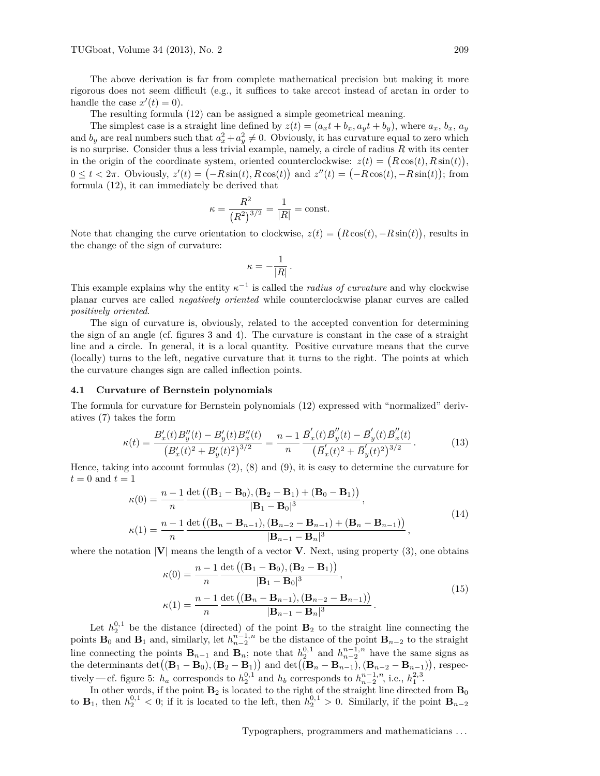The above derivation is far from complete mathematical precision but making it more rigorous does not seem difficult (e.g., it suffices to take arccot instead of arctan in order to handle the case  $x'(t) = 0$ .

The resulting formula (12) can be assigned a simple geometrical meaning.

The simplest case is a straight line defined by  $z(t) = (a_x t + b_x, a_y t + b_y)$ , where  $a_x, b_x, a_y$ and  $b_y$  are real numbers such that  $a_x^2 + a_y^2 \neq 0$ . Obviously, it has curvature equal to zero which is no surprise. Consider thus a less trivial example, namely, a circle of radius *R* with its center in the origin of the coordinate system, oriented counterclockwise:  $z(t) = (R\cos(t), R\sin(t)),$  $0 \le t < 2\pi$ . Obviously,  $z'(t) = (-R\sin(t), R\cos(t))$  and  $z''(t) = (-R\cos(t), -R\sin(t))$ ; from formula (12), it can immediately be derived that

$$
\kappa = \frac{R^2}{(R^2)^{3/2}} = \frac{1}{|R|} = \text{const.}
$$

Note that changing the curve orientation to clockwise,  $z(t) = (R\cos(t), -R\sin(t))$ , results in the change of the sign of curvature:

$$
\kappa = -\frac{1}{|R|} \, .
$$

This example explains why the entity  $\kappa^{-1}$  is called the *radius of curvature* and why clockwise planar curves are called *negatively oriented* while counterclockwise planar curves are called *positively oriented*.

The sign of curvature is, obviously, related to the accepted convention for determining the sign of an angle (cf. figures 3 and 4). The curvature is constant in the case of a straight line and a circle. In general, it is a local quantity. Positive curvature means that the curve (locally) turns to the left, negative curvature that it turns to the right. The points at which the curvature changes sign are called inflection points.

### **4.1 Curvature of Bernstein polynomials**

The formula for curvature for Bernstein polynomials (12) expressed with "normalized" derivatives (7) takes the form

$$
\kappa(t) = \frac{B_x'(t)B_y''(t) - B_y'(t)B_x''(t)}{\left(B_x'(t)^2 + B_y'(t)^2\right)^{3/2}} = \frac{n-1}{n} \frac{\bar{B}_x'(t)\bar{B}_y''(t) - \bar{B}_y'(t)\bar{B}_x''(t)}{\left(\bar{B}_x'(t)^2 + \bar{B}_y'(t)^2\right)^{3/2}}.
$$
\n(13)

Hence, taking into account formulas  $(2)$ ,  $(8)$  and  $(9)$ , it is easy to determine the curvature for  $t = 0$  and  $t = 1$ 

$$
\kappa(0) = \frac{n-1}{n} \frac{\det ((\mathbf{B}_1 - \mathbf{B}_0), (\mathbf{B}_2 - \mathbf{B}_1) + (\mathbf{B}_0 - \mathbf{B}_1))}{|\mathbf{B}_1 - \mathbf{B}_0|^3},
$$
  
\n
$$
\kappa(1) = \frac{n-1}{n} \frac{\det ((\mathbf{B}_n - \mathbf{B}_{n-1}), (\mathbf{B}_{n-2} - \mathbf{B}_{n-1}) + (\mathbf{B}_n - \mathbf{B}_{n-1}))}{|\mathbf{B}_{n-1} - \mathbf{B}_n|^3},
$$
\n(14)

where the notation  $|V|$  means the length of a vector **V**. Next, using property (3), one obtains

$$
\kappa(0) = \frac{n-1}{n} \frac{\det ((\mathbf{B}_1 - \mathbf{B}_0), (\mathbf{B}_2 - \mathbf{B}_1))}{|\mathbf{B}_1 - \mathbf{B}_0|^3},
$$
  
\n
$$
\kappa(1) = \frac{n-1}{n} \frac{\det ((\mathbf{B}_n - \mathbf{B}_{n-1}), (\mathbf{B}_{n-2} - \mathbf{B}_{n-1}))}{|\mathbf{B}_{n-1} - \mathbf{B}_n|^3}.
$$
\n(15)

Let  $h_2^{0,1}$  be the distance (directed) of the point  $\mathbf{B}_2$  to the straight line connecting the points **B**<sub>0</sub> and **B**<sub>1</sub> and, similarly, let  $h_{n-2}^{n-1,n}$  be the distance of the point **B**<sub>*n*−2</sub> to the straight line connecting the points  $\mathbf{B}_{n-1}$  and  $\mathbf{B}_n$ ; note that  $h_2^{0,1}$  and  $h_{n-2}^{n-1,n}$  have the same signs as the determinants  $\det((\mathbf{B}_1 - \mathbf{B}_0), (\mathbf{B}_2 - \mathbf{B}_1))$  and  $\det((\mathbf{B}_n - \mathbf{B}_{n-1}), (\mathbf{B}_{n-2} - \mathbf{B}_{n-1}))$ , respectively — cf. figure 5:  $h_a$  corresponds to  $h_2^{0,1}$  and  $h_b$  corresponds to  $h_{n-2}^{n-1,n}$ , i.e.,  $h_1^{2,3}$ .

In other words, if the point  $\mathbf{B}_2$  is located to the right of the straight line directed from  $\mathbf{B}_0$ to **B**<sub>1</sub>, then  $h_2^{0,1} < 0$ ; if it is located to the left, then  $h_2^{0,1} > 0$ . Similarly, if the point  $\mathbf{B}_{n-2}$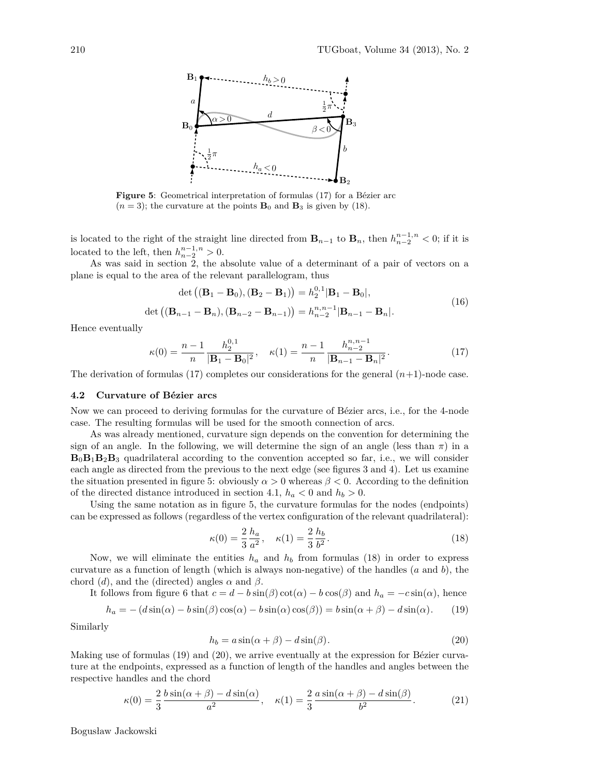

**Figure 5**: Geometrical interpretation of formulas (17) for a Bézier arc  $(n = 3)$ ; the curvature at the points  $\mathbf{B}_0$  and  $\mathbf{B}_3$  is given by (18).

is located to the right of the straight line directed from  $\mathbf{B}_{n-1}$  to  $\mathbf{B}_n$ , then  $h_{n-2}^{n-1,n} < 0$ ; if it is located to the left, then  $h_{n-2}^{n-1,n} > 0$ .

As was said in section 2, the absolute value of a determinant of a pair of vectors on a plane is equal to the area of the relevant parallelogram, thus

$$
\det ((\mathbf{B}_1 - \mathbf{B}_0), (\mathbf{B}_2 - \mathbf{B}_1)) = h_2^{0,1} |\mathbf{B}_1 - \mathbf{B}_0|,
$$
  

$$
\det ((\mathbf{B}_{n-1} - \mathbf{B}_n), (\mathbf{B}_{n-2} - \mathbf{B}_{n-1})) = h_{n-2}^{n,n-1} |\mathbf{B}_{n-1} - \mathbf{B}_n|.
$$
 (16)

Hence eventually

$$
\kappa(0) = \frac{n-1}{n} \frac{h_2^{0,1}}{|\mathbf{B}_1 - \mathbf{B}_0|^2}, \quad \kappa(1) = \frac{n-1}{n} \frac{h_{n-2}^{n,n-1}}{|\mathbf{B}_{n-1} - \mathbf{B}_n|^2}.
$$
(17)

The derivation of formulas  $(17)$  completes our considerations for the general  $(n+1)$ -node case.

#### **4.2 Curvature of Bézier arcs**

Now we can proceed to deriving formulas for the curvature of Bézier arcs, i.e., for the 4-node case. The resulting formulas will be used for the smooth connection of arcs.

As was already mentioned, curvature sign depends on the convention for determining the sign of an angle. In the following, we will determine the sign of an angle (less than  $\pi$ ) in a  $B_0B_1B_2B_3$  quadrilateral according to the convention accepted so far, i.e., we will consider each angle as directed from the previous to the next edge (see figures 3 and 4). Let us examine the situation presented in figure 5: obviously  $\alpha > 0$  whereas  $\beta < 0$ . According to the definition of the directed distance introduced in section 4.1,  $h_a < 0$  and  $h_b > 0$ .

Using the same notation as in figure 5, the curvature formulas for the nodes (endpoints) can be expressed as follows (regardless of the vertex configuration of the relevant quadrilateral):

$$
\kappa(0) = \frac{2}{3} \frac{h_a}{a^2}, \quad \kappa(1) = \frac{2}{3} \frac{h_b}{b^2}.
$$
 (18)

Now, we will eliminate the entities  $h_a$  and  $h_b$  from formulas (18) in order to express curvature as a function of length (which is always non-negative) of the handles (*a* and *b*), the chord (*d*), and the (directed) angles  $\alpha$  and  $\beta$ .

It follows from figure 6 that 
$$
c = d - b \sin(\beta) \cot(\alpha) - b \cos(\beta)
$$
 and  $h_a = -c \sin(\alpha)$ , hence

$$
h_a = -(d\sin(\alpha) - b\sin(\beta)\cos(\alpha) - b\sin(\alpha)\cos(\beta)) = b\sin(\alpha + \beta) - d\sin(\alpha). \tag{19}
$$

Similarly

$$
h_b = a\sin(\alpha + \beta) - d\sin(\beta). \tag{20}
$$

Making use of formulas (19) and (20), we arrive eventually at the expression for Bézier curvature at the endpoints, expressed as a function of length of the handles and angles between the respective handles and the chord

$$
\kappa(0) = \frac{2}{3} \frac{b \sin(\alpha + \beta) - d \sin(\alpha)}{a^2}, \quad \kappa(1) = \frac{2}{3} \frac{a \sin(\alpha + \beta) - d \sin(\beta)}{b^2}.
$$
 (21)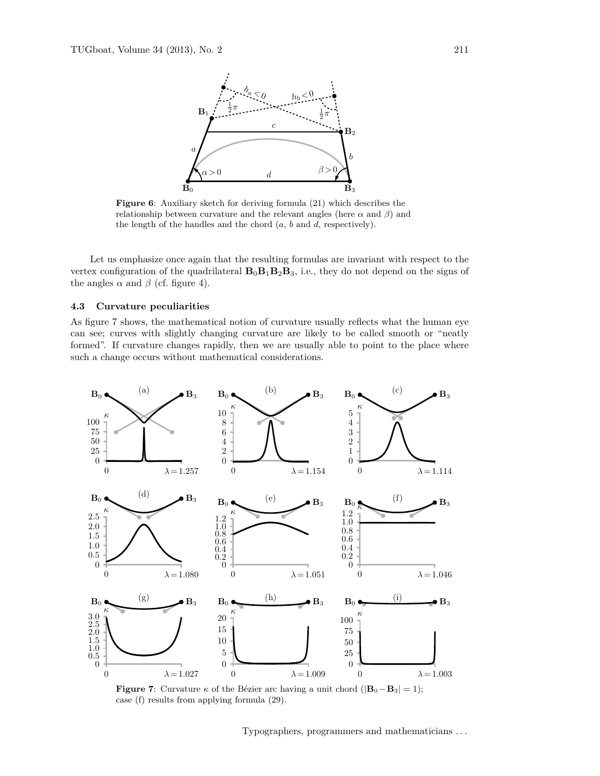

**Figure 6**: Auxiliary sketch for deriving formula (21) which describes the relationship between curvature and the relevant angles (here  $\alpha$  and  $\beta$ ) and the length of the handles and the chord (*a*, *b* and *d*, respectively).

Let us emphasize once again that the resulting formulas are invariant with respect to the vertex configuration of the quadrilateral  $\mathbf{B}_0\mathbf{B}_1\mathbf{B}_2\mathbf{B}_3$ , i.e., they do not depend on the signs of the angles  $\alpha$  and  $\beta$  (cf. figure 4).

# **4.3 Curvature peculiarities**

As figure 7 shows, the mathematical notion of curvature usually reflects what the human eye can see; curves with slightly changing curvature are likely to be called smooth or "neatly formed". If curvature changes rapidly, then we are usually able to point to the place where such a change occurs without mathematical considerations.



**Figure 7**: Curvature  $\kappa$  of the Bézier arc having a unit chord ( $|\mathbf{B}_0 - \mathbf{B}_3| = 1$ ); case (f) results from applying formula (29).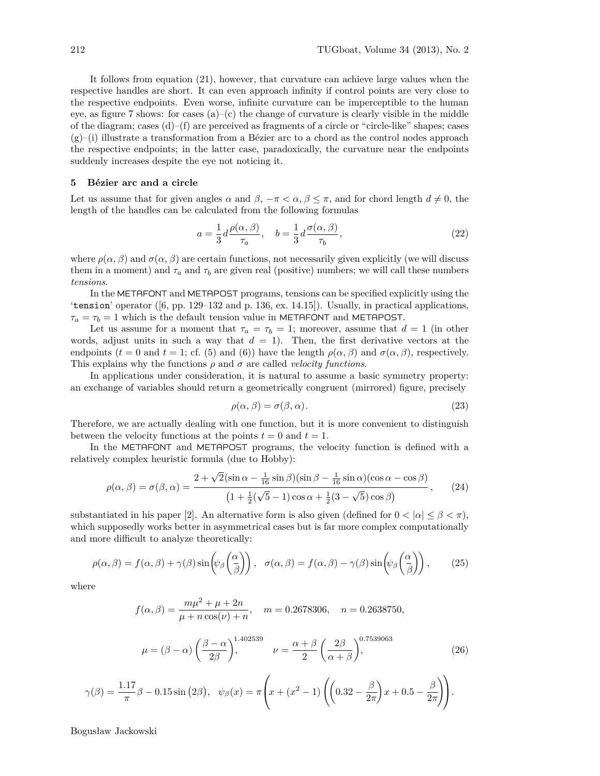It follows from equation (21), however, that curvature can achieve large values when the respective handles are short. It can even approach infinity if control points are very close to the respective endpoints. Even worse, infinite curvature can be imperceptible to the human eye, as figure 7 shows: for cases  $(a)$ – $(c)$  the change of curvature is clearly visible in the middle of the diagram; cases  $(d)$ – $(f)$  are perceived as fragments of a circle or "circle-like" shapes; cases  $(g)$ –(i) illustrate a transformation from a Bézier arc to a chord as the control nodes approach the respective endpoints; in the latter case, paradoxically, the curvature near the endpoints suddenly increases despite the eye not noticing it.

# **5 Bézier arc and a circle**

Let us assume that for given angles  $\alpha$  and  $\beta$ ,  $-\pi < \alpha$ ,  $\beta \leq \pi$ , and for chord length  $d \neq 0$ , the length of the handles can be calculated from the following formulas

$$
a = \frac{1}{3}d\frac{\rho(\alpha,\beta)}{\tau_a}, \quad b = \frac{1}{3}d\frac{\sigma(\alpha,\beta)}{\tau_b},\tag{22}
$$

where  $\rho(\alpha, \beta)$  and  $\sigma(\alpha, \beta)$  are certain functions, not necessarily given explicitly (we will discuss them in a moment) and  $\tau_a$  and  $\tau_b$  are given real (positive) numbers; we will call these numbers *tensions*.

In the METAFONT and METAPOST programs, tensions can be specified explicitly using the 'tension' operator ([6, pp. 129–132 and p. 136, ex. 14.15]). Usually, in practical applications,  $\tau_a = \tau_b = 1$  which is the default tension value in METAFONT and METAPOST.

Let us assume for a moment that  $\tau_a = \tau_b = 1$ ; moreover, assume that  $d = 1$  (in other words, adjust units in such a way that  $d = 1$ ). Then, the first derivative vectors at the endpoints ( $t = 0$  and  $t = 1$ ; cf. (5) and (6)) have the length  $\rho(\alpha, \beta)$  and  $\sigma(\alpha, \beta)$ , respectively. This explains why the functions  $\rho$  and  $\sigma$  are called *velocity functions*.

In applications under consideration, it is natural to assume a basic symmetry property: an exchange of variables should return a geometrically congruent (mirrored) figure, precisely

$$
\rho(\alpha, \beta) = \sigma(\beta, \alpha). \tag{23}
$$

Therefore, we are actually dealing with one function, but it is more convenient to distinguish between the velocity functions at the points  $t = 0$  and  $t = 1$ .

In the METAFONT and METAPOST programs, the velocity function is defined with a relatively complex heuristic formula (due to Hobby):

$$
\rho(\alpha,\beta) = \sigma(\beta,\alpha) = \frac{2 + \sqrt{2}(\sin\alpha - \frac{1}{16}\sin\beta)(\sin\beta - \frac{1}{16}\sin\alpha)(\cos\alpha - \cos\beta)}{\left(1 + \frac{1}{2}(\sqrt{5} - 1)\cos\alpha + \frac{1}{2}(3 - \sqrt{5})\cos\beta\right)},\tag{24}
$$

substantiated in his paper [2]. An alternative form is also given (defined for  $0 < |\alpha| < \beta < \pi$ ), which supposedly works better in asymmetrical cases but is far more complex computationally and more difficult to analyze theoretically:

$$
\rho(\alpha,\beta) = f(\alpha,\beta) + \gamma(\beta)\sin\left(\psi_\beta\left(\frac{\alpha}{\beta}\right)\right), \quad \sigma(\alpha,\beta) = f(\alpha,\beta) - \gamma(\beta)\sin\left(\psi_\beta\left(\frac{\alpha}{\beta}\right)\right),\tag{25}
$$

where

$$
f(\alpha, \beta) = \frac{m\mu^2 + \mu + 2n}{\mu + n\cos(\nu) + n}, \quad m = 0.2678306, \quad n = 0.2638750,
$$

$$
\mu = (\beta - \alpha) \left(\frac{\beta - \alpha}{2\beta}\right), \quad \nu = \frac{\alpha + \beta}{2} \left(\frac{2\beta}{2} \right), \quad (26)
$$

2

*α* + *β*

$$
\gamma(\beta) = \frac{1.17}{\pi}\beta - 0.15\sin(2\beta), \quad \psi_{\beta}(x) = \pi\left(x + (x^2 - 1)\left(\left(0.32 - \frac{\beta}{2\pi}\right)x + 0.5 - \frac{\beta}{2\pi}\right)\right).
$$

2*β*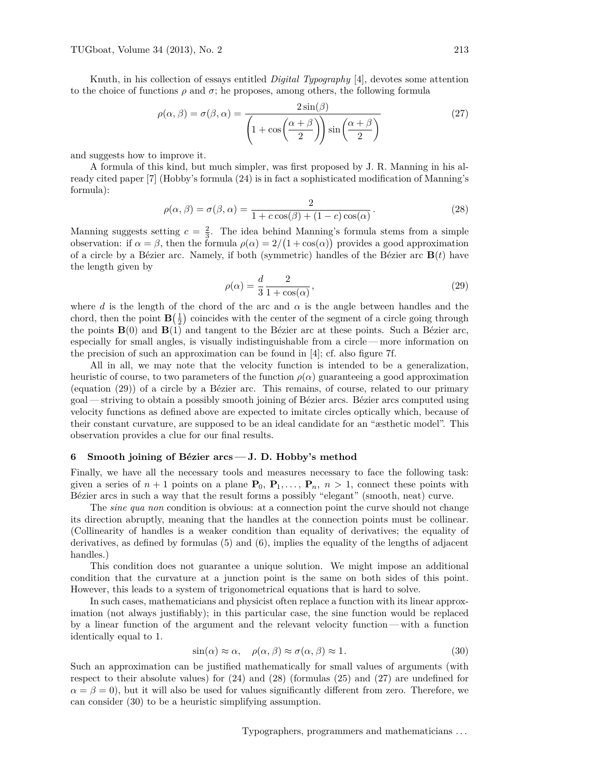Knuth, in his collection of essays entitled *Digital Typography* [4], devotes some attention to the choice of functions  $\rho$  and  $\sigma$ ; he proposes, among others, the following formula

$$
\rho(\alpha, \beta) = \sigma(\beta, \alpha) = \frac{2\sin(\beta)}{\left(1 + \cos\left(\frac{\alpha + \beta}{2}\right)\right)\sin\left(\frac{\alpha + \beta}{2}\right)}
$$
(27)

and suggests how to improve it.

A formula of this kind, but much simpler, was first proposed by J. R. Manning in his already cited paper [7] (Hobby's formula (24) is in fact a sophisticated modification of Manning's formula):

$$
\rho(\alpha, \beta) = \sigma(\beta, \alpha) = \frac{2}{1 + c \cos(\beta) + (1 - c) \cos(\alpha)}.
$$
\n(28)

Manning suggests setting  $c = \frac{2}{3}$ . The idea behind Manning's formula stems from a simple observation: if  $\alpha = \beta$ , then the formula  $\rho(\alpha) = 2/(1 + \cos(\alpha))$  provides a good approximation of a circle by a Bézier arc. Namely, if both (symmetric) handles of the Bézier arc **B**(*t*) have the length given by

$$
\rho(\alpha) = \frac{d}{3} \frac{2}{1 + \cos(\alpha)},\tag{29}
$$

where *d* is the length of the chord of the arc and  $\alpha$  is the angle between handles and the chord, then the point  $\mathbf{B}(\frac{1}{2})$  coincides with the center of the segment of a circle going through the points  $\mathbf{B}(0)$  and  $\mathbf{B}(1)$  and tangent to the Bézier arc at these points. Such a Bézier arc, especially for small angles, is visually indistinguishable from a circle— more information on the precision of such an approximation can be found in [4]; cf. also figure 7f.

All in all, we may note that the velocity function is intended to be a generalization, heuristic of course, to two parameters of the function  $\rho(\alpha)$  guaranteeing a good approximation (equation (29)) of a circle by a Bézier arc. This remains, of course, related to our primary goal — striving to obtain a possibly smooth joining of Bézier arcs. Bézier arcs computed using velocity functions as defined above are expected to imitate circles optically which, because of their constant curvature, are supposed to be an ideal candidate for an "æsthetic model". This observation provides a clue for our final results.

# **6 Smooth joining of Bézier arcs — J. D. Hobby's method**

Finally, we have all the necessary tools and measures necessary to face the following task: given a series of  $n + 1$  points on a plane  $\mathbf{P}_0$ ,  $\mathbf{P}_1, \ldots, \mathbf{P}_n$ ,  $n > 1$ , connect these points with Bézier arcs in such a way that the result forms a possibly "elegant" (smooth, neat) curve.

The *sine qua non* condition is obvious: at a connection point the curve should not change its direction abruptly, meaning that the handles at the connection points must be collinear. (Collinearity of handles is a weaker condition than equality of derivatives; the equality of derivatives, as defined by formulas (5) and (6), implies the equality of the lengths of adjacent handles.)

This condition does not guarantee a unique solution. We might impose an additional condition that the curvature at a junction point is the same on both sides of this point. However, this leads to a system of trigonometrical equations that is hard to solve.

In such cases, mathematicians and physicist often replace a function with its linear approximation (not always justifiably); in this particular case, the sine function would be replaced by a linear function of the argument and the relevant velocity function — with a function identically equal to 1.

$$
\sin(\alpha) \approx \alpha, \quad \rho(\alpha, \beta) \approx \sigma(\alpha, \beta) \approx 1. \tag{30}
$$

Such an approximation can be justified mathematically for small values of arguments (with respect to their absolute values) for (24) and (28) (formulas (25) and (27) are undefined for  $\alpha = \beta = 0$ , but it will also be used for values significantly different from zero. Therefore, we can consider (30) to be a heuristic simplifying assumption.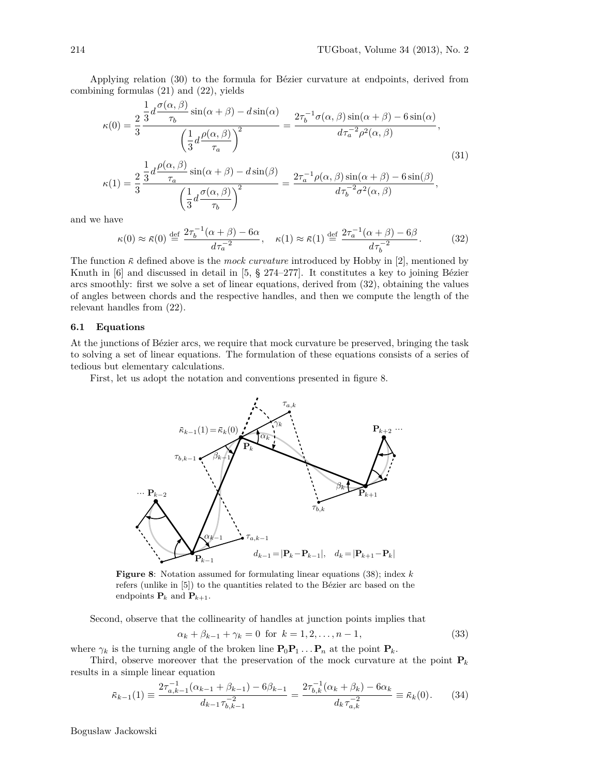Applying relation (30) to the formula for Bézier curvature at endpoints, derived from combining formulas (21) and (22), yields

$$
\kappa(0) = \frac{2}{3} \frac{\frac{1}{3} d \frac{\sigma(\alpha, \beta)}{\tau_b} \sin(\alpha + \beta) - d \sin(\alpha)}{\left(\frac{1}{3} d \frac{\rho(\alpha, \beta)}{\tau_a}\right)^2} = \frac{2\tau_b^{-1} \sigma(\alpha, \beta) \sin(\alpha + \beta) - 6 \sin(\alpha)}{d\tau_a^{-2} \rho^2(\alpha, \beta)},
$$
\n
$$
\kappa(1) = \frac{2}{3} \frac{\frac{1}{3} d \frac{\rho(\alpha, \beta)}{\tau_a} \sin(\alpha + \beta) - d \sin(\beta)}{\left(\frac{1}{3} d \frac{\sigma(\alpha, \beta)}{\tau_b}\right)^2} = \frac{2\tau_a^{-1} \rho(\alpha, \beta) \sin(\alpha + \beta) - 6 \sin(\beta)}{d\tau_b^{-2} \sigma^2(\alpha, \beta)},
$$
\n(31)

and we have

$$
\kappa(0) \approx \bar{\kappa}(0) \stackrel{\text{def}}{=} \frac{2\tau_b^{-1}(\alpha+\beta) - 6\alpha}{d\tau_a^{-2}}, \quad \kappa(1) \approx \bar{\kappa}(1) \stackrel{\text{def}}{=} \frac{2\tau_a^{-1}(\alpha+\beta) - 6\beta}{d\tau_b^{-2}}.
$$
 (32)

The function  $\bar{\kappa}$  defined above is the *mock curvature* introduced by Hobby in [2], mentioned by Knuth in [6] and discussed in detail in [5, § 274–277]. It constitutes a key to joining Bézier arcs smoothly: first we solve a set of linear equations, derived from (32), obtaining the values of angles between chords and the respective handles, and then we compute the length of the relevant handles from (22).

# **6.1 Equations**

At the junctions of Bézier arcs, we require that mock curvature be preserved, bringing the task to solving a set of linear equations. The formulation of these equations consists of a series of tedious but elementary calculations.

First, let us adopt the notation and conventions presented in figure 8.



**Figure 8**: Notation assumed for formulating linear equations (38); index *k* refers (unlike in [5]) to the quantities related to the Bézier arc based on the endpoints  $P_k$  and  $P_{k+1}$ .

Second, observe that the collinearity of handles at junction points implies that

$$
\alpha_k + \beta_{k-1} + \gamma_k = 0 \text{ for } k = 1, 2, \dots, n-1,
$$
\n(33)

where  $\gamma_k$  is the turning angle of the broken line  $\mathbf{P}_0 \mathbf{P}_1 \dots \mathbf{P}_n$  at the point  $\mathbf{P}_k$ .

Third, observe moreover that the preservation of the mock curvature at the point  $P_k$ results in a simple linear equation

$$
\bar{\kappa}_{k-1}(1) \equiv \frac{2\tau_{a,k-1}^{-1}(\alpha_{k-1} + \beta_{k-1}) - 6\beta_{k-1}}{d_{k-1}\tau_{b,k-1}^{-2}} = \frac{2\tau_{b,k}^{-1}(\alpha_k + \beta_k) - 6\alpha_k}{d_k\tau_{a,k}^{-2}} \equiv \bar{\kappa}_k(0). \tag{34}
$$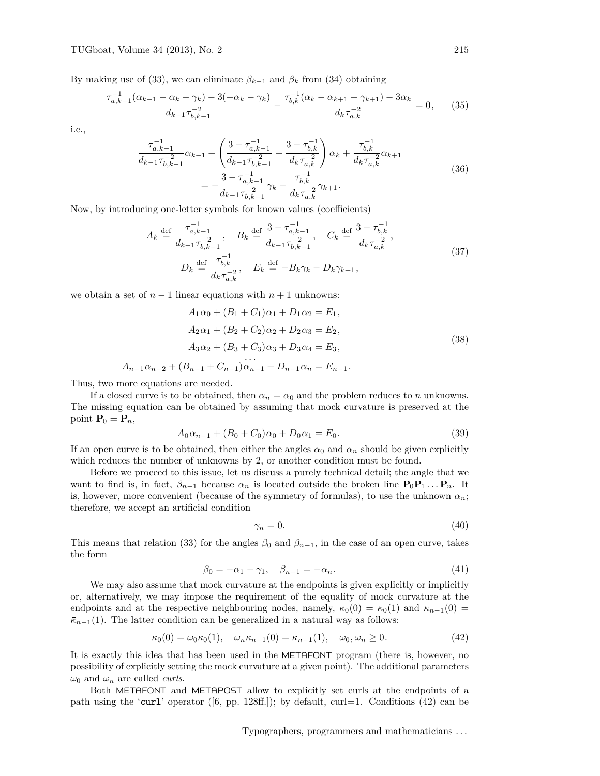By making use of (33), we can eliminate  $\beta_{k-1}$  and  $\beta_k$  from (34) obtaining

$$
\frac{\tau_{a,k-1}^{-1}(\alpha_{k-1} - \alpha_k - \gamma_k) - 3(-\alpha_k - \gamma_k)}{d_{k-1}\tau_{b,k-1}^{-2}} - \frac{\tau_{b,k}^{-1}(\alpha_k - \alpha_{k+1} - \gamma_{k+1}) - 3\alpha_k}{d_k\tau_{a,k}^{-2}} = 0, \qquad (35)
$$

i.e.,

$$
\frac{\tau_{a,k-1}^{-1}}{d_{k-1}\tau_{b,k-1}^{-2}}\alpha_{k-1} + \left(\frac{3-\tau_{a,k-1}^{-1}}{d_{k-1}\tau_{b,k-1}^{-2}} + \frac{3-\tau_{b,k}^{-1}}{d_k\tau_{a,k}^{-2}}\right)\alpha_k + \frac{\tau_{b,k}^{-1}}{d_k\tau_{a,k}^{-2}}\alpha_{k+1}
$$
\n
$$
= -\frac{3-\tau_{a,k-1}^{-1}}{d_{k-1}\tau_{b,k-1}^{-2}}\gamma_k - \frac{\tau_{b,k}^{-1}}{d_k\tau_{a,k}^{-2}}\gamma_{k+1}.
$$
\n(36)

Now, by introducing one-letter symbols for known values (coefficients)

$$
A_k \stackrel{\text{def}}{=} \frac{\tau_{a,k-1}^{-1}}{d_{k-1}\tau_{b,k-1}^{-2}}, \quad B_k \stackrel{\text{def}}{=} \frac{3 - \tau_{a,k-1}^{-1}}{d_{k-1}\tau_{b,k-1}^{-2}}, \quad C_k \stackrel{\text{def}}{=} \frac{3 - \tau_{b,k}^{-1}}{d_k\tau_{a,k}^{-2}},
$$
  
\n
$$
D_k \stackrel{\text{def}}{=} \frac{\tau_{b,k}^{-1}}{d_k\tau_{a,k}^{-2}}, \quad E_k \stackrel{\text{def}}{=} -B_k \gamma_k - D_k \gamma_{k+1},
$$
\n(37)

we obtain a set of  $n-1$  linear equations with  $n+1$  unknowns:

$$
A_1 \alpha_0 + (B_1 + C_1)\alpha_1 + D_1 \alpha_2 = E_1,
$$
  
\n
$$
A_2 \alpha_1 + (B_2 + C_2)\alpha_2 + D_2 \alpha_3 = E_2,
$$
  
\n
$$
A_3 \alpha_2 + (B_3 + C_3)\alpha_3 + D_3 \alpha_4 = E_3,
$$
  
\n
$$
\dots
$$
  
\n
$$
A_{n-1} \alpha_{n-2} + (B_{n-1} + C_{n-1})\alpha_{n-1} + D_{n-1} \alpha_n = E_{n-1}.
$$
  
\n(38)

Thus, two more equations are needed.

If a closed curve is to be obtained, then  $\alpha_n = \alpha_0$  and the problem reduces to *n* unknowns. The missing equation can be obtained by assuming that mock curvature is preserved at the point  $P_0 = P_n$ ,

$$
A_0 \alpha_{n-1} + (B_0 + C_0) \alpha_0 + D_0 \alpha_1 = E_0.
$$
\n(39)

If an open curve is to be obtained, then either the angles  $\alpha_0$  and  $\alpha_n$  should be given explicitly which reduces the number of unknowns by 2, or another condition must be found.

Before we proceed to this issue, let us discuss a purely technical detail; the angle that we want to find is, in fact,  $\beta_{n-1}$  because  $\alpha_n$  is located outside the broken line  $P_0P_1 \ldots P_n$ . It is, however, more convenient (because of the symmetry of formulas), to use the unknown  $\alpha_n$ ; therefore, we accept an artificial condition

$$
\gamma_n = 0. \tag{40}
$$

This means that relation (33) for the angles  $\beta_0$  and  $\beta_{n-1}$ , in the case of an open curve, takes the form

$$
\beta_0 = -\alpha_1 - \gamma_1, \quad \beta_{n-1} = -\alpha_n. \tag{41}
$$

We may also assume that mock curvature at the endpoints is given explicitly or implicitly or, alternatively, we may impose the requirement of the equality of mock curvature at the endpoints and at the respective neighbouring nodes, namely,  $\bar{\kappa}_0(0) = \bar{\kappa}_0(1)$  and  $\bar{\kappa}_{n-1}(0) =$  $\bar{\kappa}_{n-1}(1)$ . The latter condition can be generalized in a natural way as follows:

$$
\bar{\kappa}_0(0) = \omega_0 \bar{\kappa}_0(1), \quad \omega_n \bar{\kappa}_{n-1}(0) = \bar{\kappa}_{n-1}(1), \quad \omega_0, \omega_n \ge 0.
$$
 (42)

It is exactly this idea that has been used in the METAFONT program (there is, however, no possibility of explicitly setting the mock curvature at a given point). The additional parameters  $\omega_0$  and  $\omega_n$  are called *curls*.

Both METAFONT and METAPOST allow to explicitly set curls at the endpoints of a path using the 'curl' operator ([6, pp. 128ff.]); by default, curl=1. Conditions (42) can be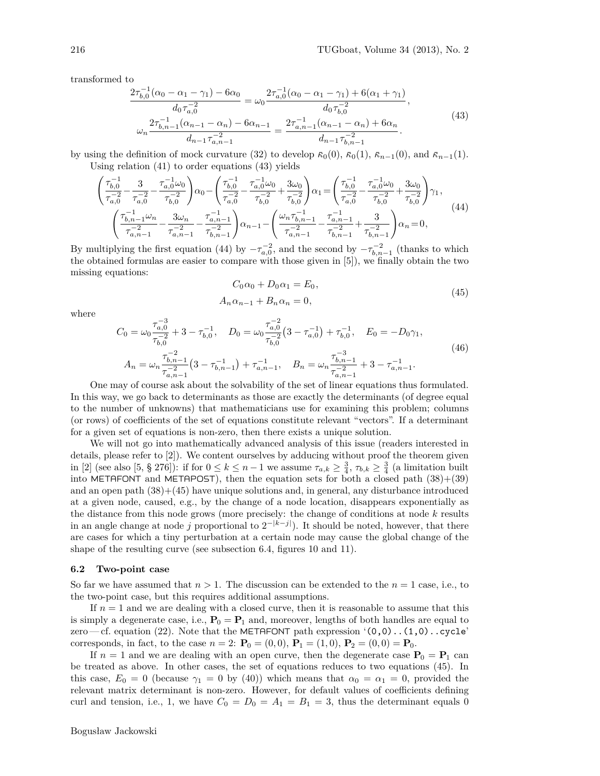transformed to

$$
\frac{2\tau_{b,0}^{-1}(\alpha_0 - \alpha_1 - \gamma_1) - 6\alpha_0}{d_0 \tau_{a,0}^{-2}} = \omega_0 \frac{2\tau_{a,0}^{-1}(\alpha_0 - \alpha_1 - \gamma_1) + 6(\alpha_1 + \gamma_1)}{d_0 \tau_{b,0}^{-2}},
$$
  

$$
\omega_n \frac{2\tau_{b,n-1}^{-1}(\alpha_{n-1} - \alpha_n) - 6\alpha_{n-1}}{d_{n-1} \tau_{a,n-1}^{-2}} = \frac{2\tau_{a,n-1}^{-1}(\alpha_{n-1} - \alpha_n) + 6\alpha_n}{d_{n-1} \tau_{b,n-1}^{-2}}.
$$
(43)

by using the definition of mock curvature (32) to develop  $\bar{\kappa}_0(0)$ ,  $\bar{\kappa}_0(1)$ ,  $\bar{\kappa}_{n-1}(0)$ , and  $\bar{\kappa}_{n-1}(1)$ . Using relation (41) to order equations (43) yields

$$
\begin{pmatrix}\n\tau_{b,0}^{-1} - \frac{3}{\tau_{a,0}^{-2}} - \frac{\tau_{a,0}^{-1}\omega_0}{\tau_{b,0}^{-2}}\n\end{pmatrix}\n\alpha_0 - \begin{pmatrix}\n\tau_{b,0}^{-1} - \frac{\tau_{a,0}^{-1}\omega_0}{\tau_{b,0}^{-2}} + \frac{3\omega_0}{\tau_{b,0}^{-2}}\n\end{pmatrix}\n\alpha_1 = \begin{pmatrix}\n\tau_{b,0}^{-1} - \frac{\tau_{a,0}^{-1}\omega_0}{\tau_{a,0}^{-2}} + \frac{3\omega_0}{\tau_{b,0}^{-2}}\n\end{pmatrix}\n\gamma_1,
$$
\n
$$
\begin{pmatrix}\n\tau_{b,n-1}^{-1}\omega_n - \frac{3\omega_n}{\tau_{a,n-1}^{-2}} - \frac{\tau_{a,n-1}^{-1}}{\tau_{b,n-1}^{-2}}\n\end{pmatrix}\n\alpha_{n-1} - \begin{pmatrix}\n\omega_n\tau_{b,n-1}^{-1} - \frac{\tau_{a,n-1}^{-1}}{\tau_{b,n-1}^{-2}} + \frac{3}{\tau_{b,n-1}^{-2}}\n\end{pmatrix}\n\alpha_n = 0,
$$
\n(44)

By multiplying the first equation (44) by  $-\tau_{a,0}^{-2}$ , and the second by  $-\tau_{b,n-1}^{-2}$  (thanks to which the obtained formulas are easier to compare with those given in [5]), we finally obtain the two missing equations:

$$
C_0\alpha_0 + D_0\alpha_1 = E_0,
$$
  
\n
$$
A_n\alpha_{n-1} + B_n\alpha_n = 0,
$$
\n(45)

where

$$
C_0 = \omega_0 \frac{\tau_{a,0}^{-3}}{\tau_{b,0}^{-2}} + 3 - \tau_{b,0}^{-1}, \quad D_0 = \omega_0 \frac{\tau_{a,0}^{-2}}{\tau_{b,0}^{-2}} (3 - \tau_{a,0}^{-1}) + \tau_{b,0}^{-1}, \quad E_0 = -D_0 \gamma_1,
$$
  
\n
$$
A_n = \omega_n \frac{\tau_{b,n-1}^{-2}}{\tau_{a,n-1}^{-2}} (3 - \tau_{b,n-1}^{-1}) + \tau_{a,n-1}^{-1}, \quad B_n = \omega_n \frac{\tau_{b,n-1}^{-3}}{\tau_{a,n-1}^{-2}} + 3 - \tau_{a,n-1}^{-1}.
$$
\n
$$
(46)
$$

One may of course ask about the solvability of the set of linear equations thus formulated. In this way, we go back to determinants as those are exactly the determinants (of degree equal to the number of unknowns) that mathematicians use for examining this problem; columns (or rows) of coefficients of the set of equations constitute relevant "vectors". If a determinant for a given set of equations is non-zero, then there exists a unique solution.

We will not go into mathematically advanced analysis of this issue (readers interested in details, please refer to [2]). We content ourselves by adducing without proof the theorem given in [2] (see also [5, § 276]): if for  $0 \le k \le n-1$  we assume  $\tau_{a,k} \ge \frac{3}{4}$ ,  $\tau_{b,k} \ge \frac{3}{4}$  (a limitation built into METAFONT and METAPOST), then the equation sets for both a closed path  $(38)+(39)$ and an open path  $(38)+(45)$  have unique solutions and, in general, any disturbance introduced at a given node, caused, e.g., by the change of a node location, disappears exponentially as the distance from this node grows (more precisely: the change of conditions at node *k* results in an angle change at node *j* proportional to  $2^{-|k-j|}$ ). It should be noted, however, that there are cases for which a tiny perturbation at a certain node may cause the global change of the shape of the resulting curve (see subsection 6.4, figures 10 and 11).

### **6.2 Two-point case**

So far we have assumed that  $n > 1$ . The discussion can be extended to the  $n = 1$  case, i.e., to the two-point case, but this requires additional assumptions.

If  $n = 1$  and we are dealing with a closed curve, then it is reasonable to assume that this is simply a degenerate case, i.e.,  $P_0 = P_1$  and, moreover, lengths of both handles are equal to zero — cf. equation (22). Note that the METAFONT path expression  $(0,0)$ ... $(1,0)$ ...cycle' corresponds, in fact, to the case  $n = 2$ :  $P_0 = (0, 0)$ ,  $P_1 = (1, 0)$ ,  $P_2 = (0, 0) = P_0$ .

If  $n = 1$  and we are dealing with an open curve, then the degenerate case  $P_0 = P_1$  can be treated as above. In other cases, the set of equations reduces to two equations (45). In this case,  $E_0 = 0$  (because  $\gamma_1 = 0$  by (40)) which means that  $\alpha_0 = \alpha_1 = 0$ , provided the relevant matrix determinant is non-zero. However, for default values of coefficients defining curl and tension, i.e., 1, we have  $C_0 = D_0 = A_1 = B_1 = 3$ , thus the determinant equals 0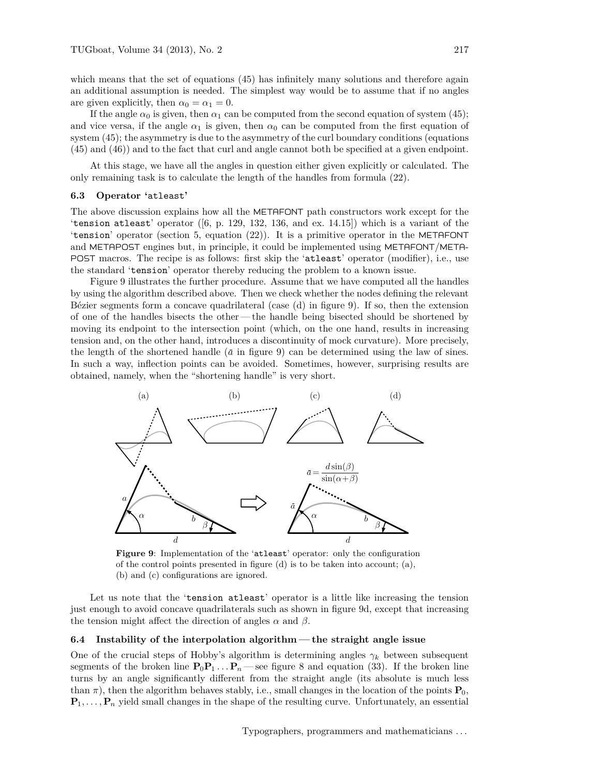which means that the set of equations  $(45)$  has infinitely many solutions and therefore again an additional assumption is needed. The simplest way would be to assume that if no angles are given explicitly, then  $\alpha_0 = \alpha_1 = 0$ .

If the angle  $\alpha_0$  is given, then  $\alpha_1$  can be computed from the second equation of system (45); and vice versa, if the angle  $\alpha_1$  is given, then  $\alpha_0$  can be computed from the first equation of system (45); the asymmetry is due to the asymmetry of the curl boundary conditions (equations (45) and (46)) and to the fact that curl and angle cannot both be specified at a given endpoint.

At this stage, we have all the angles in question either given explicitly or calculated. The only remaining task is to calculate the length of the handles from formula (22).

### **6.3 Operator '**atleast**'**

The above discussion explains how all the METAFONT path constructors work except for the 'tension atleast' operator  $([6, p. 129, 132, 136, and ex. 14.15])$  which is a variant of the 'tension' operator (section 5, equation (22)). It is a primitive operator in the METAFONT and METAPOST engines but, in principle, it could be implemented using METAFONT/META-POST macros. The recipe is as follows: first skip the 'atleast' operator (modifier), i.e., use the standard 'tension' operator thereby reducing the problem to a known issue.

Figure 9 illustrates the further procedure. Assume that we have computed all the handles by using the algorithm described above. Then we check whether the nodes defining the relevant Bézier segments form a concave quadrilateral (case (d) in figure 9). If so, then the extension of one of the handles bisects the other — the handle being bisected should be shortened by moving its endpoint to the intersection point (which, on the one hand, results in increasing tension and, on the other hand, introduces a discontinuity of mock curvature). More precisely, the length of the shortened handle  $(\bar{a}$  in figure 9) can be determined using the law of sines. In such a way, inflection points can be avoided. Sometimes, however, surprising results are obtained, namely, when the "shortening handle" is very short.



**Figure 9**: Implementation of the 'atleast' operator: only the configuration of the control points presented in figure (d) is to be taken into account; (a), (b) and (c) configurations are ignored.

Let us note that the 'tension atleast' operator is a little like increasing the tension just enough to avoid concave quadrilaterals such as shown in figure 9d, except that increasing the tension might affect the direction of angles  $\alpha$  and  $\beta$ .

### **6.4 Instability of the interpolation algorithm— the straight angle issue**

One of the crucial steps of Hobby's algorithm is determining angles  $\gamma_k$  between subsequent segments of the broken line  $\mathbf{P}_0\mathbf{P}_1 \dots \mathbf{P}_n$ —see figure 8 and equation (33). If the broken line turns by an angle significantly different from the straight angle (its absolute is much less than  $\pi$ ), then the algorithm behaves stably, i.e., small changes in the location of the points  $P_0$ ,  $\mathbf{P}_1, \ldots, \mathbf{P}_n$  yield small changes in the shape of the resulting curve. Unfortunately, an essential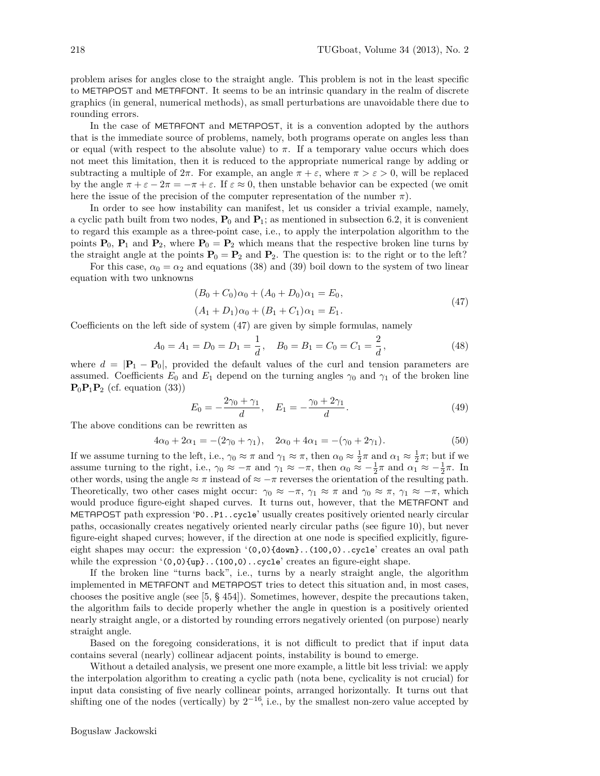problem arises for angles close to the straight angle. This problem is not in the least specific to METAPOST and METAFONT. It seems to be an intrinsic quandary in the realm of discrete graphics (in general, numerical methods), as small perturbations are unavoidable there due to rounding errors.

In the case of METAFONT and METAPOST, it is a convention adopted by the authors that is the immediate source of problems, namely, both programs operate on angles less than or equal (with respect to the absolute value) to  $\pi$ . If a temporary value occurs which does not meet this limitation, then it is reduced to the appropriate numerical range by adding or subtracting a multiple of  $2\pi$ . For example, an angle  $\pi + \varepsilon$ , where  $\pi > \varepsilon > 0$ , will be replaced by the angle  $\pi + \varepsilon - 2\pi = -\pi + \varepsilon$ . If  $\varepsilon \approx 0$ , then unstable behavior can be expected (we omit here the issue of the precision of the computer representation of the number  $\pi$ ).

In order to see how instability can manifest, let us consider a trivial example, namely, a cyclic path built from two nodes,  $P_0$  and  $P_1$ ; as mentioned in subsection 6.2, it is convenient to regard this example as a three-point case, i.e., to apply the interpolation algorithm to the points  $\mathbf{P}_0$ ,  $\mathbf{P}_1$  and  $\mathbf{P}_2$ , where  $\mathbf{P}_0 = \mathbf{P}_2$  which means that the respective broken line turns by the straight angle at the points  $P_0 = P_2$  and  $P_2$ . The question is: to the right or to the left?

For this case,  $\alpha_0 = \alpha_2$  and equations (38) and (39) boil down to the system of two linear equation with two unknowns

$$
(B0 + C0)\alpha0 + (A0 + D0)\alpha1 = E0,(A1 + D1)\alpha0 + (B1 + C1)\alpha1 = E1.
$$
\n(47)

Coefficients on the left side of system (47) are given by simple formulas, namely

$$
A_0 = A_1 = D_0 = D_1 = \frac{1}{d}, \quad B_0 = B_1 = C_0 = C_1 = \frac{2}{d}, \tag{48}
$$

where  $d = |\mathbf{P}_1 - \mathbf{P}_0|$ , provided the default values of the curl and tension parameters are assumed. Coefficients  $E_0$  and  $E_1$  depend on the turning angles  $\gamma_0$  and  $\gamma_1$  of the broken line  $\mathbf{P}_0 \mathbf{P}_1 \mathbf{P}_2$  (cf. equation (33))

$$
E_0 = -\frac{2\gamma_0 + \gamma_1}{d}, \quad E_1 = -\frac{\gamma_0 + 2\gamma_1}{d}.
$$
\n(49)

The above conditions can be rewritten as

$$
4\alpha_0 + 2\alpha_1 = -(2\gamma_0 + \gamma_1), \quad 2\alpha_0 + 4\alpha_1 = -(\gamma_0 + 2\gamma_1). \tag{50}
$$

If we assume turning to the left, i.e.,  $\gamma_0 \approx \pi$  and  $\gamma_1 \approx \pi$ , then  $\alpha_0 \approx \frac{1}{2}\pi$  and  $\alpha_1 \approx \frac{1}{2}\pi$ ; but if we assume turning to the right, i.e.,  $\gamma_0 \approx -\pi$  and  $\gamma_1 \approx -\pi$ , then  $\alpha_0 \approx -\frac{1}{2}\pi$  and  $\alpha_1 \approx -\frac{1}{2}\pi$ . In other words, using the angle  $\approx \pi$  instead of  $\approx -\pi$  reverses the orientation of the resulting path. Theoretically, two other cases might occur:  $\gamma_0 \approx -\pi$ ,  $\gamma_1 \approx \pi$  and  $\gamma_0 \approx \pi$ ,  $\gamma_1 \approx -\pi$ , which would produce figure-eight shaped curves. It turns out, however, that the METAFONT and METAPOST path expression 'P0..P1..cycle' usually creates positively oriented nearly circular paths, occasionally creates negatively oriented nearly circular paths (see figure 10), but never figure-eight shaped curves; however, if the direction at one node is specified explicitly, figureeight shapes may occur: the expression  $(0,0)$  {down}...(100,0)...cycle' creates an oval path while the expression '(0,0){up}..(100,0)..cycle' creates an figure-eight shape.

If the broken line "turns back", i.e., turns by a nearly straight angle, the algorithm implemented in METAFONT and METAPOST tries to detect this situation and, in most cases, chooses the positive angle (see [5, § 454]). Sometimes, however, despite the precautions taken, the algorithm fails to decide properly whether the angle in question is a positively oriented nearly straight angle, or a distorted by rounding errors negatively oriented (on purpose) nearly straight angle.

Based on the foregoing considerations, it is not difficult to predict that if input data contains several (nearly) collinear adjacent points, instability is bound to emerge.

Without a detailed analysis, we present one more example, a little bit less trivial: we apply the interpolation algorithm to creating a cyclic path (nota bene, cyclicality is not crucial) for input data consisting of five nearly collinear points, arranged horizontally. It turns out that shifting one of the nodes (vertically) by  $2^{-16}$ , i.e., by the smallest non-zero value accepted by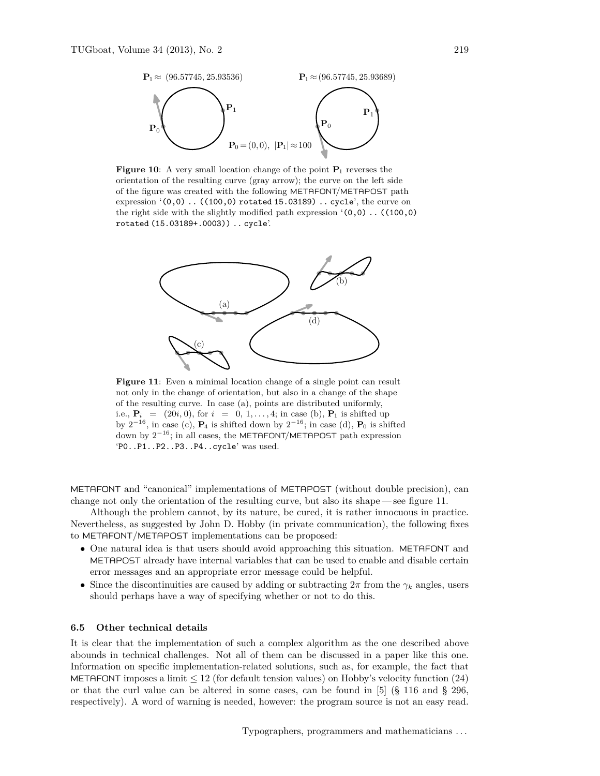

**Figure 10**: A very small location change of the point  $P_1$  reverses the orientation of the resulting curve (gray arrow); the curve on the left side of the figure was created with the following METAFONT/METAPOST path expression '(0,0) .. ((100,0) rotated 15.03189) .. cycle', the curve on the right side with the slightly modified path expression  $(0,0)$ ..  $((100,0)$ rotated (15.03189+.0003)) .. cycle'.



Figure 11: Even a minimal location change of a single point can result not only in the change of orientation, but also in a change of the shape of the resulting curve. In case (a), points are distributed uniformly, i.e.,  $P_i = (20i, 0)$ , for  $i = 0, 1, ..., 4$ ; in case (b),  $P_1$  is shifted up by  $2^{-16}$ , in case (c),  $P_4$  is shifted down by  $2^{-16}$ ; in case (d),  $P_0$  is shifted down by  $2^{-16}$ ; in all cases, the METAFONT/METAPOST path expression 'P0..P1..P2..P3..P4..cycle' was used.

METAFONT and "canonical" implementations of METAPOST (without double precision), can change not only the orientation of the resulting curve, but also its shape— see figure 11.

Although the problem cannot, by its nature, be cured, it is rather innocuous in practice. Nevertheless, as suggested by John D. Hobby (in private communication), the following fixes to METAFONT/METAPOST implementations can be proposed:

- One natural idea is that users should avoid approaching this situation. METAFONT and METAPOST already have internal variables that can be used to enable and disable certain error messages and an appropriate error message could be helpful.
- Since the discontinuities are caused by adding or subtracting  $2\pi$  from the  $\gamma_k$  angles, users should perhaps have a way of specifying whether or not to do this.

### **6.5 Other technical details**

It is clear that the implementation of such a complex algorithm as the one described above abounds in technical challenges. Not all of them can be discussed in a paper like this one. Information on specific implementation-related solutions, such as, for example, the fact that METAFONT imposes a limit  $\leq 12$  (for default tension values) on Hobby's velocity function (24) or that the curl value can be altered in some cases, can be found in [5] (§ 116 and § 296, respectively). A word of warning is needed, however: the program source is not an easy read.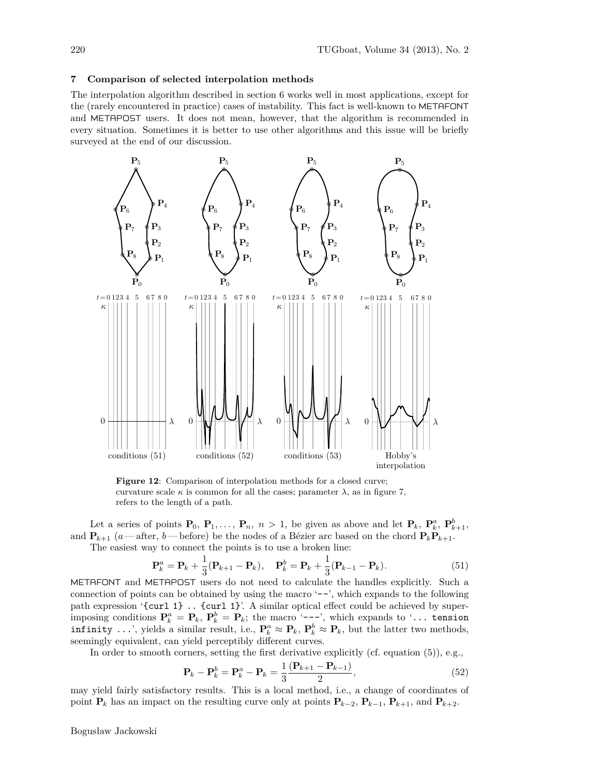### **7 Comparison of selected interpolation methods**

The interpolation algorithm described in section 6 works well in most applications, except for the (rarely encountered in practice) cases of instability. This fact is well-known to METAFONT and METAPOST users. It does not mean, however, that the algorithm is recommended in every situation. Sometimes it is better to use other algorithms and this issue will be briefly surveyed at the end of our discussion.



**Figure 12:** Comparison of interpolation methods for a closed curve; curvature scale  $\kappa$  is common for all the cases; parameter  $\lambda$ , as in figure 7, refers to the length of a path.

Let a series of points  $\mathbf{P}_0$ ,  $\mathbf{P}_1, \ldots, \mathbf{P}_n$ ,  $n > 1$ , be given as above and let  $\mathbf{P}_k$ ,  $\mathbf{P}_k^a$ ,  $\mathbf{P}_{k+1}^b$ , and  $\mathbf{P}_{k+1}$  (*a*—after, *b*—before) be the nodes of a Bézier arc based on the chord  $\mathbf{P}_{k}\mathbf{P}_{k+1}$ .

The easiest way to connect the points is to use a broken line:

$$
\mathbf{P}_k^a = \mathbf{P}_k + \frac{1}{3} (\mathbf{P}_{k+1} - \mathbf{P}_k), \quad \mathbf{P}_k^b = \mathbf{P}_k + \frac{1}{3} (\mathbf{P}_{k-1} - \mathbf{P}_k).
$$
 (51)

METAFONT and METAPOST users do not need to calculate the handles explicitly. Such a connection of points can be obtained by using the macro  $\left(-\right)$ , which expands to the following path expression '{curl 1} .. {curl 1}'. A similar optical effect could be achieved by superimposing conditions  $\mathbf{P}_k^a = \mathbf{P}_k$ ,  $\mathbf{P}_k^b = \mathbf{P}_k$ ; the macro '---', which expands to '... tension infinity ...', yields a similar result, i.e.,  $\mathbf{P}_k^a \approx \mathbf{P}_k$ ,  $\mathbf{P}_k^b \approx \mathbf{P}_k$ , but the latter two methods, seemingly equivalent, can yield perceptibly different curves.

In order to smooth corners, setting the first derivative explicitly (cf. equation (5)), e.g.,

$$
\mathbf{P}_{k} - \mathbf{P}_{k}^{b} = \mathbf{P}_{k}^{a} - \mathbf{P}_{k} = \frac{1}{3} \frac{(\mathbf{P}_{k+1} - \mathbf{P}_{k-1})}{2},
$$
\n(52)

may yield fairly satisfactory results. This is a local method, i.e., a change of coordinates of point  $\mathbf{P}_k$  has an impact on the resulting curve only at points  $\mathbf{P}_{k-2}$ ,  $\mathbf{P}_{k-1}$ ,  $\mathbf{P}_{k+1}$ , and  $\mathbf{P}_{k+2}$ .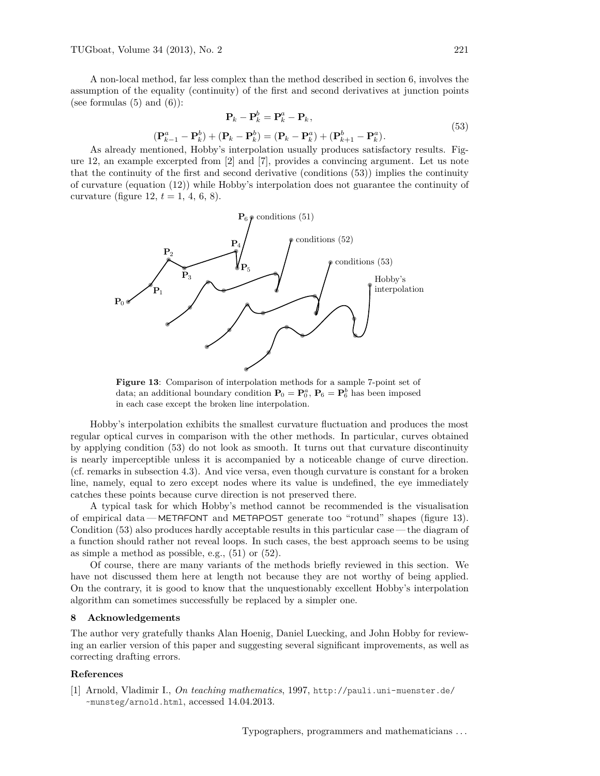TUGboat, Volume 34 (2013), No. 2 221

A non-local method, far less complex than the method described in section 6, involves the assumption of the equality (continuity) of the first and second derivatives at junction points (see formulas  $(5)$  and  $(6)$ ):

$$
\mathbf{P}_k - \mathbf{P}_k^b = \mathbf{P}_k^a - \mathbf{P}_k, (\mathbf{P}_{k-1}^a - \mathbf{P}_k^b) + (\mathbf{P}_k - \mathbf{P}_k^b) = (\mathbf{P}_k - \mathbf{P}_k^a) + (\mathbf{P}_{k+1}^b - \mathbf{P}_k^a).
$$
(53)

As already mentioned, Hobby's interpolation usually produces satisfactory results. Figure 12, an example excerpted from [2] and [7], provides a convincing argument. Let us note that the continuity of the first and second derivative (conditions (53)) implies the continuity of curvature (equation (12)) while Hobby's interpolation does not guarantee the continuity of curvature (figure 12,  $t = 1, 4, 6, 8$ ).



**Figure 13**: Comparison of interpolation methods for a sample 7-point set of data; an additional boundary condition  $P_0 = P_0^a$ ,  $P_6 = P_6^b$  has been imposed in each case except the broken line interpolation.

Hobby's interpolation exhibits the smallest curvature fluctuation and produces the most regular optical curves in comparison with the other methods. In particular, curves obtained by applying condition (53) do not look as smooth. It turns out that curvature discontinuity is nearly imperceptible unless it is accompanied by a noticeable change of curve direction. (cf. remarks in subsection 4.3). And vice versa, even though curvature is constant for a broken line, namely, equal to zero except nodes where its value is undefined, the eye immediately catches these points because curve direction is not preserved there.

A typical task for which Hobby's method cannot be recommended is the visualisation of empirical data— METAFONT and METAPOST generate too "rotund" shapes (figure 13). Condition (53) also produces hardly acceptable results in this particular case— the diagram of a function should rather not reveal loops. In such cases, the best approach seems to be using as simple a method as possible, e.g., (51) or (52).

Of course, there are many variants of the methods briefly reviewed in this section. We have not discussed them here at length not because they are not worthy of being applied. On the contrary, it is good to know that the unquestionably excellent Hobby's interpolation algorithm can sometimes successfully be replaced by a simpler one.

### **8 Acknowledgements**

The author very gratefully thanks Alan Hoenig, Daniel Luecking, and John Hobby for reviewing an earlier version of this paper and suggesting several significant improvements, as well as correcting drafting errors.

#### **References**

[1] Arnold, Vladimir I., *On teaching mathematics*, 1997, http://pauli.uni-muenster.de/ ~munsteg/arnold.html, accessed 14.04.2013.